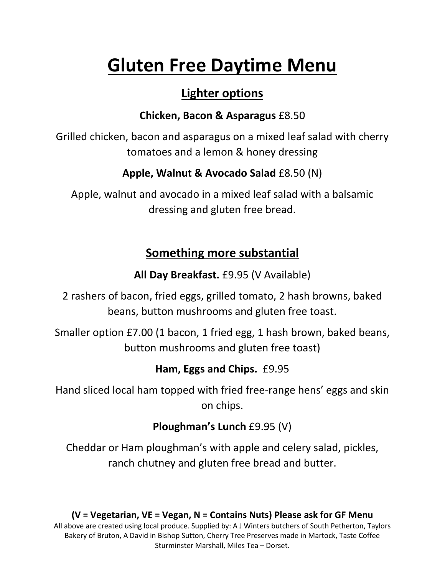# **Gluten Free Daytime Menu**

## **Lighter options**

### **Chicken, Bacon & Asparagus** £8.50

Grilled chicken, bacon and asparagus on a mixed leaf salad with cherry tomatoes and a lemon & honey dressing

### **Apple, Walnut & Avocado Salad** £8.50 (N)

Apple, walnut and avocado in a mixed leaf salad with a balsamic dressing and gluten free bread.

## **Something more substantial**

**All Day Breakfast.** £9.95 (V Available)

2 rashers of bacon, fried eggs, grilled tomato, 2 hash browns, baked beans, button mushrooms and gluten free toast.

Smaller option £7.00 (1 bacon, 1 fried egg, 1 hash brown, baked beans, button mushrooms and gluten free toast)

## **Ham, Eggs and Chips.** £9.95

Hand sliced local ham topped with fried free-range hens' eggs and skin on chips.

## **Ploughman's Lunch** £9.95 (V)

Cheddar or Ham ploughman's with apple and celery salad, pickles, ranch chutney and gluten free bread and butter.

#### **(V = Vegetarian, VE = Vegan, N = Contains Nuts) Please ask for GF Menu**

All above are created using local produce. Supplied by: A J Winters butchers of South Petherton, Taylors Bakery of Bruton, A David in Bishop Sutton, Cherry Tree Preserves made in Martock, Taste Coffee Sturminster Marshall, Miles Tea – Dorset.